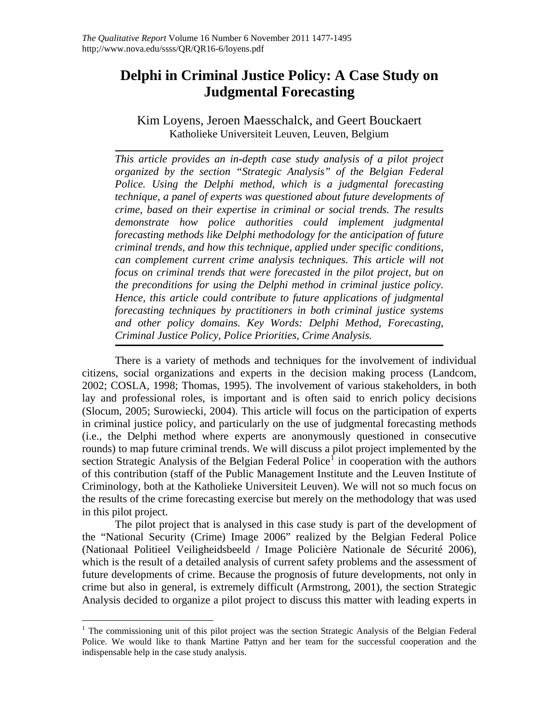# **Delphi in Criminal Justice Policy: A Case Study on Judgmental Forecasting**

Kim Loyens, Jeroen Maesschalck, and Geert Bouckaert Katholieke Universiteit Leuven, Leuven, Belgium

*This article provides an in-depth case study analysis of a pilot project organized by the section "Strategic Analysis" of the Belgian Federal Police. Using the Delphi method, which is a judgmental forecasting technique, a panel of experts was questioned about future developments of crime, based on their expertise in criminal or social trends. The results demonstrate how police authorities could implement judgmental forecasting methods like Delphi methodology for the anticipation of future criminal trends, and how this technique, applied under specific conditions, can complement current crime analysis techniques. This article will not focus on criminal trends that were forecasted in the pilot project, but on the preconditions for using the Delphi method in criminal justice policy. Hence, this article could contribute to future applications of judgmental forecasting techniques by practitioners in both criminal justice systems and other policy domains. Key Words: Delphi Method, Forecasting, Criminal Justice Policy, Police Priorities, Crime Analysis.* 

There is a variety of methods and techniques for the involvement of individual citizens, social organizations and experts in the decision making process (Landcom, 2002; COSLA, 1998; Thomas, 1995). The involvement of various stakeholders, in both lay and professional roles, is important and is often said to enrich policy decisions (Slocum, 2005; Surowiecki, 2004). This article will focus on the participation of experts in criminal justice policy, and particularly on the use of judgmental forecasting methods (i.e., the Delphi method where experts are anonymously questioned in consecutive rounds) to map future criminal trends. We will discuss a pilot project implemented by the section Strategic Analysis of the Belgian Federal Police<sup>[1](#page-0-0)</sup> in cooperation with the authors of this contribution (staff of the Public Management Institute and the Leuven Institute of Criminology, both at the Katholieke Universiteit Leuven). We will not so much focus on the results of the crime forecasting exercise but merely on the methodology that was used in this pilot project.

The pilot project that is analysed in this case study is part of the development of the "National Security (Crime) Image 2006" realized by the Belgian Federal Police (Nationaal Politieel Veiligheidsbeeld / Image Policière Nationale de Sécurité 2006), which is the result of a detailed analysis of current safety problems and the assessment of future developments of crime. Because the prognosis of future developments, not only in crime but also in general, is extremely difficult (Armstrong, 2001), the section Strategic Analysis decided to organize a pilot project to discuss this matter with leading experts in

<span id="page-0-0"></span> $\overline{a}$ <sup>1</sup> The commissioning unit of this pilot project was the section Strategic Analysis of the Belgian Federal Police. We would like to thank Martine Pattyn and her team for the successful cooperation and the indispensable help in the case study analysis.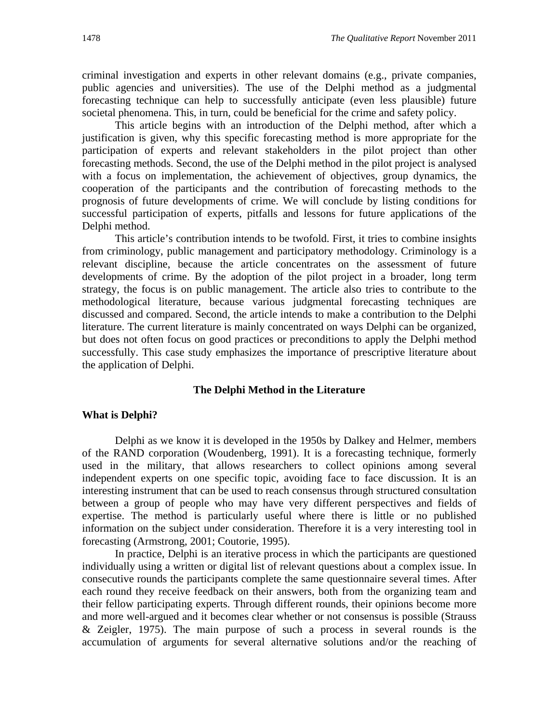criminal investigation and experts in other relevant domains (e.g., private companies, public agencies and universities). The use of the Delphi method as a judgmental forecasting technique can help to successfully anticipate (even less plausible) future societal phenomena. This, in turn, could be beneficial for the crime and safety policy.

This article begins with an introduction of the Delphi method, after which a justification is given, why this specific forecasting method is more appropriate for the participation of experts and relevant stakeholders in the pilot project than other forecasting methods. Second, the use of the Delphi method in the pilot project is analysed with a focus on implementation, the achievement of objectives, group dynamics, the cooperation of the participants and the contribution of forecasting methods to the prognosis of future developments of crime. We will conclude by listing conditions for successful participation of experts, pitfalls and lessons for future applications of the Delphi method.

This article's contribution intends to be twofold. First, it tries to combine insights from criminology, public management and participatory methodology. Criminology is a relevant discipline, because the article concentrates on the assessment of future developments of crime. By the adoption of the pilot project in a broader, long term strategy, the focus is on public management. The article also tries to contribute to the methodological literature, because various judgmental forecasting techniques are discussed and compared. Second, the article intends to make a contribution to the Delphi literature. The current literature is mainly concentrated on ways Delphi can be organized, but does not often focus on good practices or preconditions to apply the Delphi method successfully. This case study emphasizes the importance of prescriptive literature about the application of Delphi.

#### **The Delphi Method in the Literature**

#### **What is Delphi?**

Delphi as we know it is developed in the 1950s by Dalkey and Helmer, members of the RAND corporation (Woudenberg, 1991). It is a forecasting technique, formerly used in the military, that allows researchers to collect opinions among several independent experts on one specific topic, avoiding face to face discussion. It is an interesting instrument that can be used to reach consensus through structured consultation between a group of people who may have very different perspectives and fields of expertise. The method is particularly useful where there is little or no published information on the subject under consideration. Therefore it is a very interesting tool in forecasting (Armstrong, 2001; Coutorie, 1995).

In practice, Delphi is an iterative process in which the participants are questioned individually using a written or digital list of relevant questions about a complex issue. In consecutive rounds the participants complete the same questionnaire several times. After each round they receive feedback on their answers, both from the organizing team and their fellow participating experts. Through different rounds, their opinions become more and more well-argued and it becomes clear whether or not consensus is possible (Strauss & Zeigler, 1975). The main purpose of such a process in several rounds is the accumulation of arguments for several alternative solutions and/or the reaching of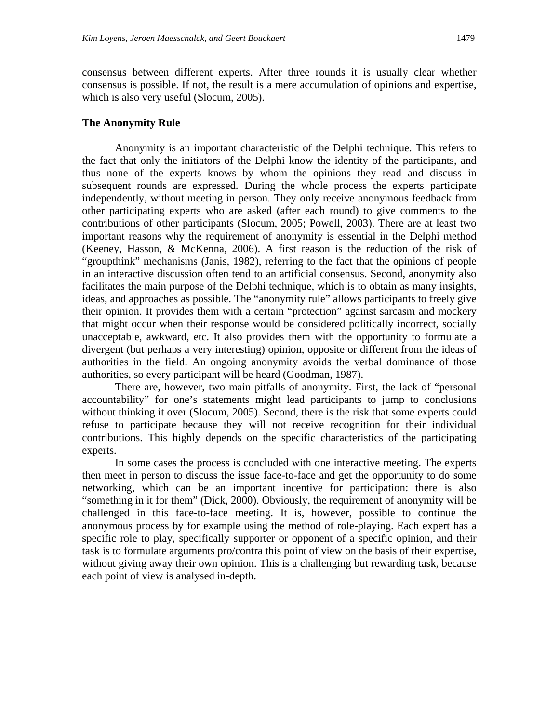consensus between different experts. After three rounds it is usually clear whether consensus is possible. If not, the result is a mere accumulation of opinions and expertise, which is also very useful (Slocum, 2005).

### **The Anonymity Rule**

Anonymity is an important characteristic of the Delphi technique. This refers to the fact that only the initiators of the Delphi know the identity of the participants, and thus none of the experts knows by whom the opinions they read and discuss in subsequent rounds are expressed. During the whole process the experts participate independently, without meeting in person. They only receive anonymous feedback from other participating experts who are asked (after each round) to give comments to the contributions of other participants (Slocum, 2005; Powell, 2003). There are at least two important reasons why the requirement of anonymity is essential in the Delphi method (Keeney, Hasson, & McKenna, 2006). A first reason is the reduction of the risk of "groupthink" mechanisms (Janis, 1982), referring to the fact that the opinions of people in an interactive discussion often tend to an artificial consensus. Second, anonymity also facilitates the main purpose of the Delphi technique, which is to obtain as many insights, ideas, and approaches as possible. The "anonymity rule" allows participants to freely give their opinion. It provides them with a certain "protection" against sarcasm and mockery that might occur when their response would be considered politically incorrect, socially unacceptable, awkward, etc. It also provides them with the opportunity to formulate a divergent (but perhaps a very interesting) opinion, opposite or different from the ideas of authorities in the field. An ongoing anonymity avoids the verbal dominance of those authorities, so every participant will be heard (Goodman, 1987).

There are, however, two main pitfalls of anonymity. First, the lack of "personal accountability" for one's statements might lead participants to jump to conclusions without thinking it over (Slocum, 2005). Second, there is the risk that some experts could refuse to participate because they will not receive recognition for their individual contributions. This highly depends on the specific characteristics of the participating experts.

In some cases the process is concluded with one interactive meeting. The experts then meet in person to discuss the issue face-to-face and get the opportunity to do some networking, which can be an important incentive for participation: there is also "something in it for them" (Dick, 2000). Obviously, the requirement of anonymity will be challenged in this face-to-face meeting. It is, however, possible to continue the anonymous process by for example using the method of role-playing. Each expert has a specific role to play, specifically supporter or opponent of a specific opinion, and their task is to formulate arguments pro/contra this point of view on the basis of their expertise, without giving away their own opinion. This is a challenging but rewarding task, because each point of view is analysed in-depth.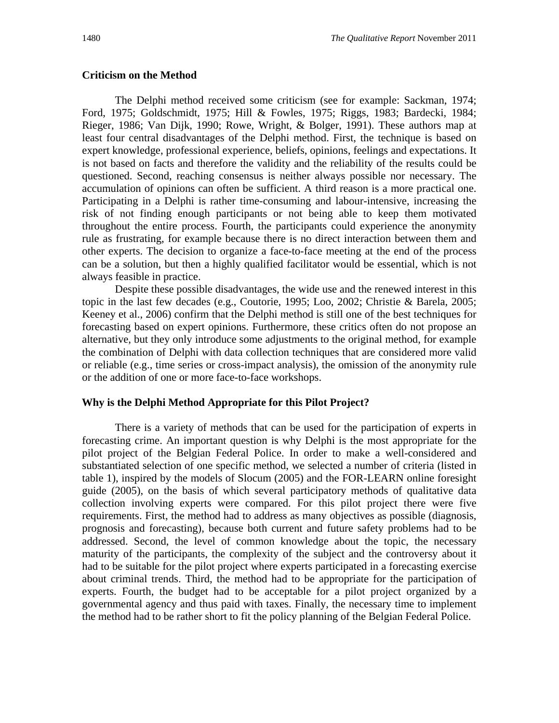### **Criticism on the Method**

The Delphi method received some criticism (see for example: Sackman, 1974; Ford, 1975; Goldschmidt, 1975; Hill & Fowles, 1975; Riggs, 1983; Bardecki, 1984; Rieger, 1986; Van Dijk, 1990; Rowe, Wright, & Bolger, 1991). These authors map at least four central disadvantages of the Delphi method. First, the technique is based on expert knowledge, professional experience, beliefs, opinions, feelings and expectations. It is not based on facts and therefore the validity and the reliability of the results could be questioned. Second, reaching consensus is neither always possible nor necessary. The accumulation of opinions can often be sufficient. A third reason is a more practical one. Participating in a Delphi is rather time-consuming and labour-intensive, increasing the risk of not finding enough participants or not being able to keep them motivated throughout the entire process. Fourth, the participants could experience the anonymity rule as frustrating, for example because there is no direct interaction between them and other experts. The decision to organize a face-to-face meeting at the end of the process can be a solution, but then a highly qualified facilitator would be essential, which is not always feasible in practice.

Despite these possible disadvantages, the wide use and the renewed interest in this topic in the last few decades (e.g., Coutorie, 1995; Loo, 2002; Christie & Barela, 2005; Keeney et al., 2006) confirm that the Delphi method is still one of the best techniques for forecasting based on expert opinions. Furthermore, these critics often do not propose an alternative, but they only introduce some adjustments to the original method, for example the combination of Delphi with data collection techniques that are considered more valid or reliable (e.g., time series or cross-impact analysis), the omission of the anonymity rule or the addition of one or more face-to-face workshops.

#### **Why is the Delphi Method Appropriate for this Pilot Project?**

There is a variety of methods that can be used for the participation of experts in forecasting crime. An important question is why Delphi is the most appropriate for the pilot project of the Belgian Federal Police. In order to make a well-considered and substantiated selection of one specific method, we selected a number of criteria (listed in table 1), inspired by the models of Slocum (2005) and the FOR-LEARN online foresight guide (2005), on the basis of which several participatory methods of qualitative data collection involving experts were compared. For this pilot project there were five requirements. First, the method had to address as many objectives as possible (diagnosis, prognosis and forecasting), because both current and future safety problems had to be addressed. Second, the level of common knowledge about the topic, the necessary maturity of the participants, the complexity of the subject and the controversy about it had to be suitable for the pilot project where experts participated in a forecasting exercise about criminal trends. Third, the method had to be appropriate for the participation of experts. Fourth, the budget had to be acceptable for a pilot project organized by a governmental agency and thus paid with taxes. Finally, the necessary time to implement the method had to be rather short to fit the policy planning of the Belgian Federal Police.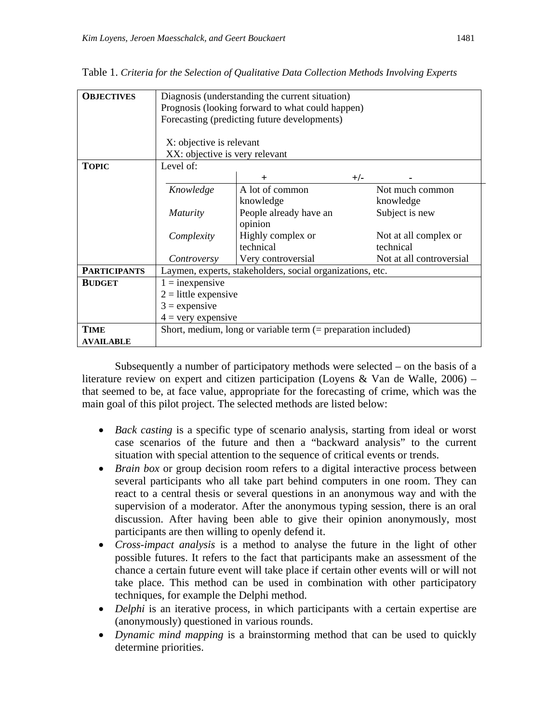| <b>OBJECTIVES</b>   | Diagnosis (understanding the current situation)<br>Prognosis (looking forward to what could happen)<br>Forecasting (predicting future developments)<br>X: objective is relevant |                        |       |                          |  |  |  |  |  |
|---------------------|---------------------------------------------------------------------------------------------------------------------------------------------------------------------------------|------------------------|-------|--------------------------|--|--|--|--|--|
|                     | XX: objective is very relevant                                                                                                                                                  |                        |       |                          |  |  |  |  |  |
| <b>TOPIC</b>        | Level of:                                                                                                                                                                       |                        |       |                          |  |  |  |  |  |
|                     |                                                                                                                                                                                 | $\pm$                  | $+/-$ |                          |  |  |  |  |  |
|                     | Knowledge                                                                                                                                                                       | A lot of common        |       | Not much common          |  |  |  |  |  |
|                     |                                                                                                                                                                                 | knowledge              |       | knowledge                |  |  |  |  |  |
|                     | <i>Maturity</i>                                                                                                                                                                 | People already have an |       | Subject is new           |  |  |  |  |  |
|                     |                                                                                                                                                                                 | opinion                |       |                          |  |  |  |  |  |
|                     | Complexity                                                                                                                                                                      | Highly complex or      |       | Not at all complex or    |  |  |  |  |  |
|                     |                                                                                                                                                                                 | technical              |       | technical                |  |  |  |  |  |
|                     | Controversy                                                                                                                                                                     | Very controversial     |       | Not at all controversial |  |  |  |  |  |
| <b>PARTICIPANTS</b> | Laymen, experts, stakeholders, social organizations, etc.                                                                                                                       |                        |       |                          |  |  |  |  |  |
| <b>BUDGET</b>       | $1 =$ inexpensive                                                                                                                                                               |                        |       |                          |  |  |  |  |  |
|                     | $2 =$ little expensive                                                                                                                                                          |                        |       |                          |  |  |  |  |  |
|                     | $3 =$ expensive                                                                                                                                                                 |                        |       |                          |  |  |  |  |  |
|                     | $4 =$ very expensive                                                                                                                                                            |                        |       |                          |  |  |  |  |  |
| <b>TIME</b>         | Short, medium, long or variable term $(=$ preparation included)                                                                                                                 |                        |       |                          |  |  |  |  |  |
| <b>AVAILABLE</b>    |                                                                                                                                                                                 |                        |       |                          |  |  |  |  |  |

Table 1. *Criteria for the Selection of Qualitative Data Collection Methods Involving Experts* 

Subsequently a number of participatory methods were selected  $-$  on the basis of a literature review on expert and citizen participation (Loyens & Van de Walle, 2006) – that seemed to be, at face value, appropriate for the forecasting of crime, which was the main goal of this pilot project. The selected methods are listed below:

- *Back casting* is a specific type of scenario analysis, starting from ideal or worst case scenarios of the future and then a "backward analysis" to the current situation with special attention to the sequence of critical events or trends.
- *Brain box* or group decision room refers to a digital interactive process between several participants who all take part behind computers in one room. They can react to a central thesis or several questions in an anonymous way and with the supervision of a moderator. After the anonymous typing session, there is an oral discussion. After having been able to give their opinion anonymously, most participants are then willing to openly defend it.
- *Cross-impact analysis* is a method to analyse the future in the light of other possible futures. It refers to the fact that participants make an assessment of the chance a certain future event will take place if certain other events will or will not take place. This method can be used in combination with other participatory techniques, for example the Delphi method.
- *Delphi* is an iterative process, in which participants with a certain expertise are (anonymously) questioned in various rounds.
- *Dynamic mind mapping* is a brainstorming method that can be used to quickly determine priorities.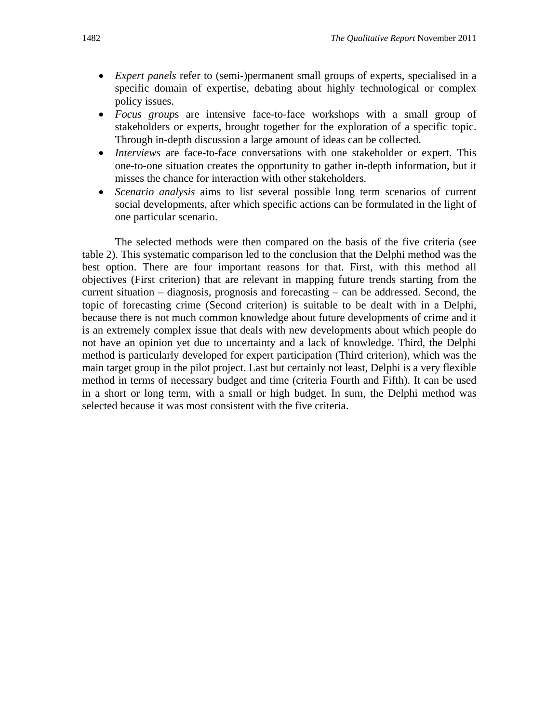- *Expert panels* refer to (semi-)permanent small groups of experts, specialised in a specific domain of expertise, debating about highly technological or complex policy issues.
- *Focus group*s are intensive face-to-face workshops with a small group of stakeholders or experts, brought together for the exploration of a specific topic. Through in-depth discussion a large amount of ideas can be collected.
- *Interviews* are face-to-face conversations with one stakeholder or expert. This one-to-one situation creates the opportunity to gather in-depth information, but it misses the chance for interaction with other stakeholders.
- *Scenario analysis* aims to list several possible long term scenarios of current social developments, after which specific actions can be formulated in the light of one particular scenario.

The selected methods were then compared on the basis of the five criteria (see table 2). This systematic comparison led to the conclusion that the Delphi method was the best option. There are four important reasons for that. First, with this method all objectives (First criterion) that are relevant in mapping future trends starting from the current situation – diagnosis, prognosis and forecasting – can be addressed. Second, the topic of forecasting crime (Second criterion) is suitable to be dealt with in a Delphi, because there is not much common knowledge about future developments of crime and it is an extremely complex issue that deals with new developments about which people do not have an opinion yet due to uncertainty and a lack of knowledge. Third, the Delphi method is particularly developed for expert participation (Third criterion), which was the main target group in the pilot project. Last but certainly not least, Delphi is a very flexible method in terms of necessary budget and time (criteria Fourth and Fifth). It can be used in a short or long term, with a small or high budget. In sum, the Delphi method was selected because it was most consistent with the five criteria.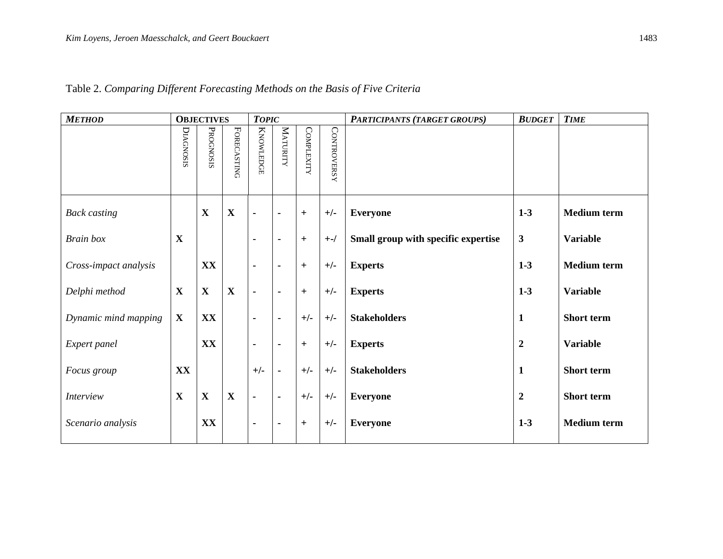| <b>METHOD</b>         |             | <b>OBJECTIVES</b> |                    | <b>TOPIC</b>     |                |                   |                    | PARTICIPANTS (TARGET GROUPS)        | <b>BUDGET</b>    | <b>TIME</b>        |
|-----------------------|-------------|-------------------|--------------------|------------------|----------------|-------------------|--------------------|-------------------------------------|------------------|--------------------|
|                       | DIAGNOSIS   | PROGNOSIS         | <b>FORECASTING</b> | <b>KNOWLEDGE</b> | MATURITY       | <b>COMPLEXITY</b> | <b>CONTROVERSY</b> |                                     |                  |                    |
| <b>Back casting</b>   |             | $\mathbf X$       | $\mathbf X$        | $\blacksquare$   | $\blacksquare$ | $+$               | $+/-$              | <b>Everyone</b>                     | $1 - 3$          | <b>Medium</b> term |
| <b>Brain</b> box      | X           |                   |                    | $\blacksquare$   | $\blacksquare$ | $+$               | $+$ -/             | Small group with specific expertise | 3                | <b>Variable</b>    |
| Cross-impact analysis |             | XX                |                    | $\blacksquare$   | $\blacksquare$ | $^{+}$            | $+/-$              | <b>Experts</b>                      | $1-3$            | <b>Medium</b> term |
| Delphi method         | X           | $\mathbf X$       | X                  | $\blacksquare$   | $\blacksquare$ | $+$               | $+/-$              | <b>Experts</b>                      | $1 - 3$          | <b>Variable</b>    |
| Dynamic mind mapping  | $\mathbf X$ | XX                |                    | $\blacksquare$   | $\blacksquare$ | $+/-$             | $+/-$              | <b>Stakeholders</b>                 | $\mathbf{1}$     | <b>Short</b> term  |
| Expert panel          |             | XX                |                    | $\blacksquare$   | ٠              | $+$               | $+/-$              | <b>Experts</b>                      | $\boldsymbol{2}$ | <b>Variable</b>    |
| Focus group           | XX          |                   |                    | $+/-$            | $\blacksquare$ | $+/-$             | $+/-$              | <b>Stakeholders</b>                 | $\mathbf{1}$     | Short term         |
| <i>Interview</i>      | $\mathbf X$ | $\mathbf X$       | $\mathbf X$        | $\blacksquare$   | $\blacksquare$ | $+/-$             | $+/-$              | <b>Everyone</b>                     | $\boldsymbol{2}$ | Short term         |
| Scenario analysis     |             | XX                |                    | ٠                | $\blacksquare$ | $+$               | $+/-$              | <b>Everyone</b>                     | $1 - 3$          | <b>Medium</b> term |

## Table 2. *Comparing Different Forecasting Methods on the Basis of Five Criteria*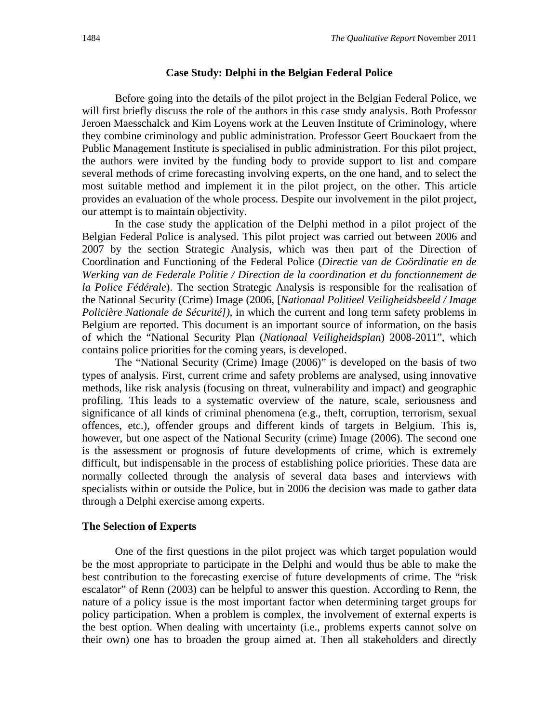#### **Case Study: Delphi in the Belgian Federal Police**

Before going into the details of the pilot project in the Belgian Federal Police, we will first briefly discuss the role of the authors in this case study analysis. Both Professor Jeroen Maesschalck and Kim Loyens work at the Leuven Institute of Criminology, where they combine criminology and public administration. Professor Geert Bouckaert from the Public Management Institute is specialised in public administration. For this pilot project, the authors were invited by the funding body to provide support to list and compare several methods of crime forecasting involving experts, on the one hand, and to select the most suitable method and implement it in the pilot project, on the other. This article provides an evaluation of the whole process. Despite our involvement in the pilot project, our attempt is to maintain objectivity.

In the case study the application of the Delphi method in a pilot project of the Belgian Federal Police is analysed. This pilot project was carried out between 2006 and 2007 by the section Strategic Analysis, which was then part of the Direction of Coordination and Functioning of the Federal Police (*Directie van de Coördinatie en de Werking van de Federale Politie / Direction de la coordination et du fonctionnement de la Police Fédérale*). The section Strategic Analysis is responsible for the realisation of the National Security (Crime) Image (2006, [*Nationaal Politieel Veiligheidsbeeld / Image Policière Nationale de Sécurité])*, in which the current and long term safety problems in Belgium are reported. This document is an important source of information, on the basis of which the "National Security Plan (*Nationaal Veiligheidsplan*) 2008-2011", which contains police priorities for the coming years, is developed.

The "National Security (Crime) Image (2006)" is developed on the basis of two types of analysis. First, current crime and safety problems are analysed, using innovative methods, like risk analysis (focusing on threat, vulnerability and impact) and geographic profiling. This leads to a systematic overview of the nature, scale, seriousness and significance of all kinds of criminal phenomena (e.g., theft, corruption, terrorism, sexual offences, etc.), offender groups and different kinds of targets in Belgium. This is, however, but one aspect of the National Security (crime) Image (2006). The second one is the assessment or prognosis of future developments of crime, which is extremely difficult, but indispensable in the process of establishing police priorities. These data are normally collected through the analysis of several data bases and interviews with specialists within or outside the Police, but in 2006 the decision was made to gather data through a Delphi exercise among experts.

### **The Selection of Experts**

One of the first questions in the pilot project was which target population would be the most appropriate to participate in the Delphi and would thus be able to make the best contribution to the forecasting exercise of future developments of crime. The "risk escalator" of Renn (2003) can be helpful to answer this question. According to Renn, the nature of a policy issue is the most important factor when determining target groups for policy participation. When a problem is complex, the involvement of external experts is the best option. When dealing with uncertainty (i.e., problems experts cannot solve on their own) one has to broaden the group aimed at. Then all stakeholders and directly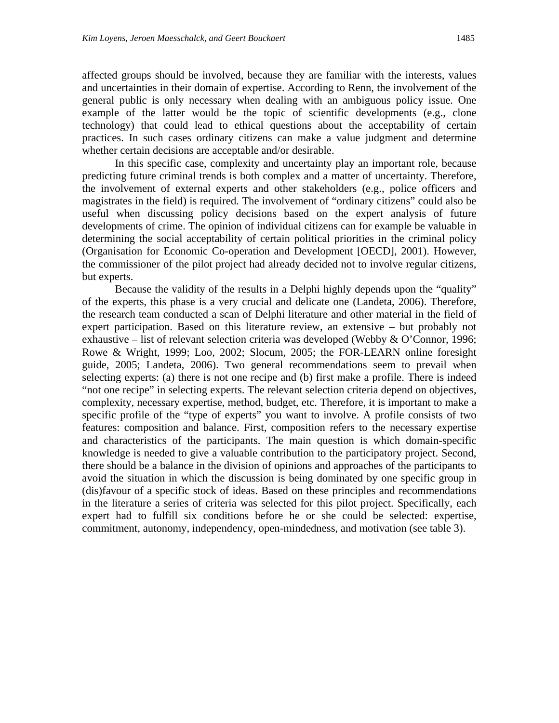affected groups should be involved, because they are familiar with the interests, values and uncertainties in their domain of expertise. According to Renn, the involvement of the general public is only necessary when dealing with an ambiguous policy issue. One example of the latter would be the topic of scientific developments (e.g., clone technology) that could lead to ethical questions about the acceptability of certain practices. In such cases ordinary citizens can make a value judgment and determine whether certain decisions are acceptable and/or desirable.

In this specific case, complexity and uncertainty play an important role, because predicting future criminal trends is both complex and a matter of uncertainty. Therefore, the involvement of external experts and other stakeholders (e.g., police officers and magistrates in the field) is required. The involvement of "ordinary citizens" could also be useful when discussing policy decisions based on the expert analysis of future developments of crime. The opinion of individual citizens can for example be valuable in determining the social acceptability of certain political priorities in the criminal policy (Organisation for Economic Co-operation and Development [OECD], 2001). However, the commissioner of the pilot project had already decided not to involve regular citizens, but experts.

Because the validity of the results in a Delphi highly depends upon the "quality" of the experts, this phase is a very crucial and delicate one (Landeta, 2006). Therefore, the research team conducted a scan of Delphi literature and other material in the field of expert participation. Based on this literature review, an extensive – but probably not exhaustive – list of relevant selection criteria was developed (Webby & O'Connor, 1996; Rowe & Wright, 1999; Loo, 2002; Slocum, 2005; the FOR-LEARN online foresight guide, 2005; Landeta, 2006). Two general recommendations seem to prevail when selecting experts: (a) there is not one recipe and (b) first make a profile. There is indeed "not one recipe" in selecting experts. The relevant selection criteria depend on objectives, complexity, necessary expertise, method, budget, etc. Therefore, it is important to make a specific profile of the "type of experts" you want to involve. A profile consists of two features: composition and balance. First, composition refers to the necessary expertise and characteristics of the participants. The main question is which domain-specific knowledge is needed to give a valuable contribution to the participatory project. Second, there should be a balance in the division of opinions and approaches of the participants to avoid the situation in which the discussion is being dominated by one specific group in (dis)favour of a specific stock of ideas. Based on these principles and recommendations in the literature a series of criteria was selected for this pilot project. Specifically, each expert had to fulfill six conditions before he or she could be selected: expertise, commitment, autonomy, independency, open-mindedness, and motivation (see table 3).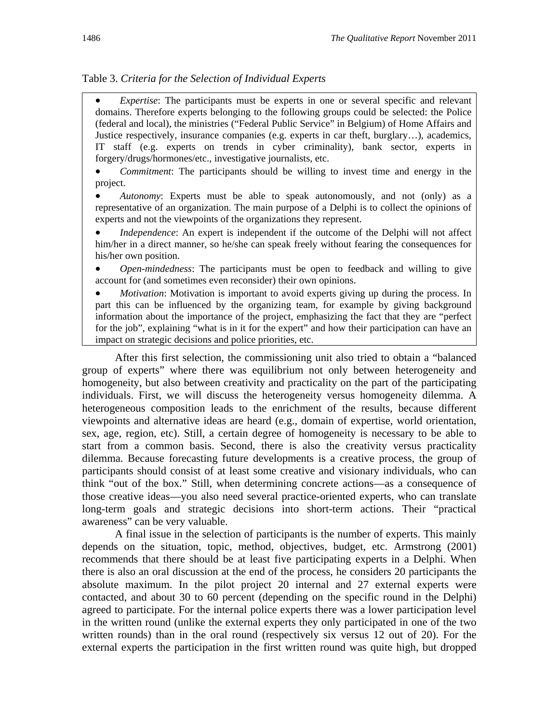## Table 3. *Criteria for the Selection of Individual Experts*

 *Expertise*: The participants must be experts in one or several specific and relevant domains. Therefore experts belonging to the following groups could be selected: the Police (federal and local), the ministries ("Federal Public Service" in Belgium) of Home Affairs and Justice respectively, insurance companies (e.g. experts in car theft, burglary…), academics, IT staff (e.g. experts on trends in cyber criminality), bank sector, experts in forgery/drugs/hormones/etc., investigative journalists, etc.

 *Commitment*: The participants should be willing to invest time and energy in the project.

 *Autonomy*: Experts must be able to speak autonomously, and not (only) as a representative of an organization. The main purpose of a Delphi is to collect the opinions of experts and not the viewpoints of the organizations they represent.

 *Independence*: An expert is independent if the outcome of the Delphi will not affect him/her in a direct manner, so he/she can speak freely without fearing the consequences for his/her own position.

 *Open-mindedness*: The participants must be open to feedback and willing to give account for (and sometimes even reconsider) their own opinions.

 *Motivation*: Motivation is important to avoid experts giving up during the process. In part this can be influenced by the organizing team, for example by giving background information about the importance of the project, emphasizing the fact that they are "perfect for the job", explaining "what is in it for the expert" and how their participation can have an impact on strategic decisions and police priorities, etc.

After this first selection, the commissioning unit also tried to obtain a "balanced group of experts" where there was equilibrium not only between heterogeneity and homogeneity, but also between creativity and practicality on the part of the participating individuals. First, we will discuss the heterogeneity versus homogeneity dilemma. A heterogeneous composition leads to the enrichment of the results, because different viewpoints and alternative ideas are heard (e.g., domain of expertise, world orientation, sex, age, region, etc). Still, a certain degree of homogeneity is necessary to be able to start from a common basis. Second, there is also the creativity versus practicality dilemma. Because forecasting future developments is a creative process, the group of participants should consist of at least some creative and visionary individuals, who can think "out of the box." Still, when determining concrete actions—as a consequence of those creative ideas—you also need several practice-oriented experts, who can translate long-term goals and strategic decisions into short-term actions. Their "practical awareness" can be very valuable.

A final issue in the selection of participants is the number of experts. This mainly depends on the situation, topic, method, objectives, budget, etc. Armstrong (2001) recommends that there should be at least five participating experts in a Delphi. When there is also an oral discussion at the end of the process, he considers 20 participants the absolute maximum. In the pilot project 20 internal and 27 external experts were contacted, and about 30 to 60 percent (depending on the specific round in the Delphi) agreed to participate. For the internal police experts there was a lower participation level in the written round (unlike the external experts they only participated in one of the two written rounds) than in the oral round (respectively six versus 12 out of 20). For the external experts the participation in the first written round was quite high, but dropped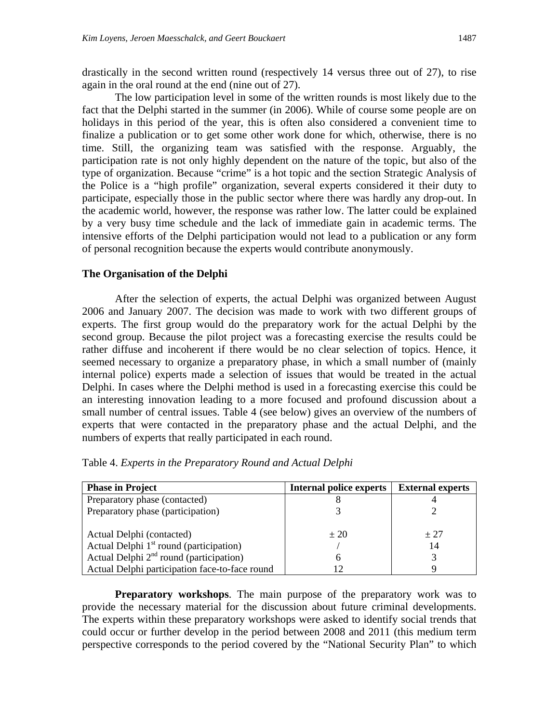drastically in the second written round (respectively 14 versus three out of 27), to rise again in the oral round at the end (nine out of 27).

The low participation level in some of the written rounds is most likely due to the fact that the Delphi started in the summer (in 2006). While of course some people are on holidays in this period of the year, this is often also considered a convenient time to finalize a publication or to get some other work done for which, otherwise, there is no time. Still, the organizing team was satisfied with the response. Arguably, the participation rate is not only highly dependent on the nature of the topic, but also of the type of organization. Because "crime" is a hot topic and the section Strategic Analysis of the Police is a "high profile" organization, several experts considered it their duty to participate, especially those in the public sector where there was hardly any drop-out. In the academic world, however, the response was rather low. The latter could be explained by a very busy time schedule and the lack of immediate gain in academic terms. The intensive efforts of the Delphi participation would not lead to a publication or any form of personal recognition because the experts would contribute anonymously.

#### **The Organisation of the Delphi**

After the selection of experts, the actual Delphi was organized between August 2006 and January 2007. The decision was made to work with two different groups of experts. The first group would do the preparatory work for the actual Delphi by the second group. Because the pilot project was a forecasting exercise the results could be rather diffuse and incoherent if there would be no clear selection of topics. Hence, it seemed necessary to organize a preparatory phase, in which a small number of (mainly internal police) experts made a selection of issues that would be treated in the actual Delphi. In cases where the Delphi method is used in a forecasting exercise this could be an interesting innovation leading to a more focused and profound discussion about a small number of central issues. Table 4 (see below) gives an overview of the numbers of experts that were contacted in the preparatory phase and the actual Delphi, and the numbers of experts that really participated in each round.

| <b>Phase in Project</b>                             | <b>Internal police experts</b> | <b>External experts</b> |
|-----------------------------------------------------|--------------------------------|-------------------------|
| Preparatory phase (contacted)                       |                                |                         |
| Preparatory phase (participation)                   |                                |                         |
|                                                     |                                |                         |
| Actual Delphi (contacted)                           | $+20$                          | $+27$                   |
| Actual Delphi 1 <sup>st</sup> round (participation) |                                | 14                      |
| Actual Delphi $2nd$ round (participation)           |                                |                         |
| Actual Delphi participation face-to-face round      |                                |                         |

Table 4. *Experts in the Preparatory Round and Actual Delphi*

**Preparatory workshops.** The main purpose of the preparatory work was to provide the necessary material for the discussion about future criminal developments. The experts within these preparatory workshops were asked to identify social trends that could occur or further develop in the period between 2008 and 2011 (this medium term perspective corresponds to the period covered by the "National Security Plan" to which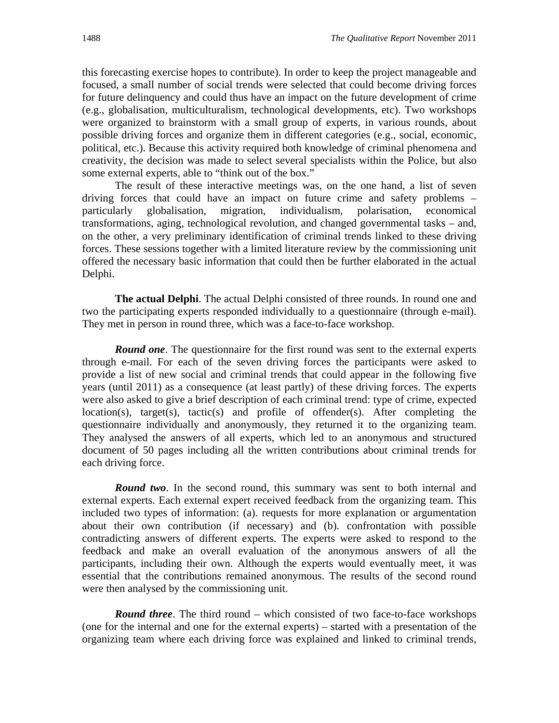this forecasting exercise hopes to contribute). In order to keep the project manageable and focused, a small number of social trends were selected that could become driving forces for future delinquency and could thus have an impact on the future development of crime (e.g., globalisation, multiculturalism, technological developments, etc). Two workshops were organized to brainstorm with a small group of experts, in various rounds, about possible driving forces and organize them in different categories (e.g., social, economic, political, etc.). Because this activity required both knowledge of criminal phenomena and creativity, the decision was made to select several specialists within the Police, but also some external experts, able to "think out of the box."

The result of these interactive meetings was, on the one hand, a list of seven driving forces that could have an impact on future crime and safety problems – particularly globalisation, migration, individualism, polarisation, economical transformations, aging, technological revolution, and changed governmental tasks – and, on the other, a very preliminary identification of criminal trends linked to these driving forces. These sessions together with a limited literature review by the commissioning unit offered the necessary basic information that could then be further elaborated in the actual Delphi.

**The actual Delphi**. The actual Delphi consisted of three rounds. In round one and two the participating experts responded individually to a questionnaire (through e-mail). They met in person in round three, which was a face-to-face workshop.

*Round one*. The questionnaire for the first round was sent to the external experts through e-mail. For each of the seven driving forces the participants were asked to provide a list of new social and criminal trends that could appear in the following five years (until 2011) as a consequence (at least partly) of these driving forces. The experts were also asked to give a brief description of each criminal trend: type of crime, expected location(s), target(s), tactic(s) and profile of offender(s). After completing the questionnaire individually and anonymously, they returned it to the organizing team. They analysed the answers of all experts, which led to an anonymous and structured document of 50 pages including all the written contributions about criminal trends for each driving force.

*Round two.* In the second round, this summary was sent to both internal and external experts. Each external expert received feedback from the organizing team. This included two types of information: (a). requests for more explanation or argumentation about their own contribution (if necessary) and (b). confrontation with possible contradicting answers of different experts. The experts were asked to respond to the feedback and make an overall evaluation of the anonymous answers of all the participants, including their own. Although the experts would eventually meet, it was essential that the contributions remained anonymous. The results of the second round were then analysed by the commissioning unit.

*Round three.* The third round – which consisted of two face-to-face workshops (one for the internal and one for the external experts) – started with a presentation of the organizing team where each driving force was explained and linked to criminal trends,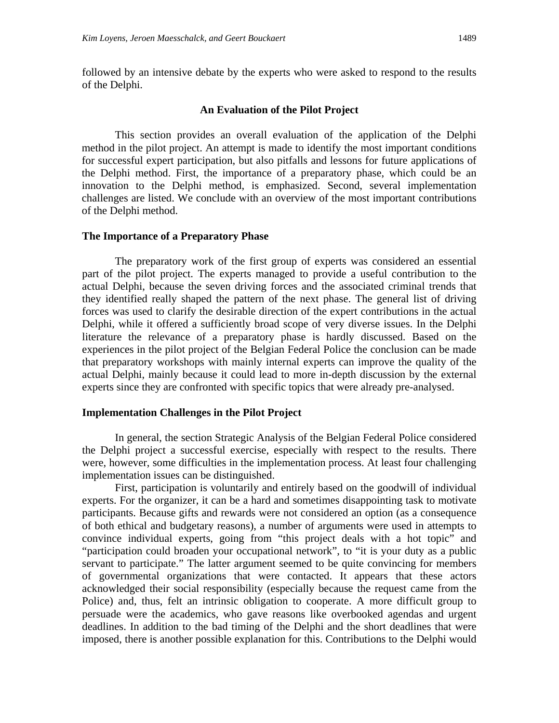followed by an intensive debate by the experts who were asked to respond to the results of the Delphi.

#### **An Evaluation of the Pilot Project**

This section provides an overall evaluation of the application of the Delphi method in the pilot project. An attempt is made to identify the most important conditions for successful expert participation, but also pitfalls and lessons for future applications of the Delphi method. First, the importance of a preparatory phase, which could be an innovation to the Delphi method, is emphasized. Second, several implementation challenges are listed. We conclude with an overview of the most important contributions of the Delphi method.

#### **The Importance of a Preparatory Phase**

The preparatory work of the first group of experts was considered an essential part of the pilot project. The experts managed to provide a useful contribution to the actual Delphi, because the seven driving forces and the associated criminal trends that they identified really shaped the pattern of the next phase. The general list of driving forces was used to clarify the desirable direction of the expert contributions in the actual Delphi, while it offered a sufficiently broad scope of very diverse issues. In the Delphi literature the relevance of a preparatory phase is hardly discussed. Based on the experiences in the pilot project of the Belgian Federal Police the conclusion can be made that preparatory workshops with mainly internal experts can improve the quality of the actual Delphi, mainly because it could lead to more in-depth discussion by the external experts since they are confronted with specific topics that were already pre-analysed.

#### **Implementation Challenges in the Pilot Project**

In general, the section Strategic Analysis of the Belgian Federal Police considered the Delphi project a successful exercise, especially with respect to the results. There were, however, some difficulties in the implementation process. At least four challenging implementation issues can be distinguished.

First, participation is voluntarily and entirely based on the goodwill of individual experts. For the organizer, it can be a hard and sometimes disappointing task to motivate participants. Because gifts and rewards were not considered an option (as a consequence of both ethical and budgetary reasons), a number of arguments were used in attempts to convince individual experts, going from "this project deals with a hot topic" and "participation could broaden your occupational network", to "it is your duty as a public servant to participate." The latter argument seemed to be quite convincing for members of governmental organizations that were contacted. It appears that these actors acknowledged their social responsibility (especially because the request came from the Police) and, thus, felt an intrinsic obligation to cooperate. A more difficult group to persuade were the academics, who gave reasons like overbooked agendas and urgent deadlines. In addition to the bad timing of the Delphi and the short deadlines that were imposed, there is another possible explanation for this. Contributions to the Delphi would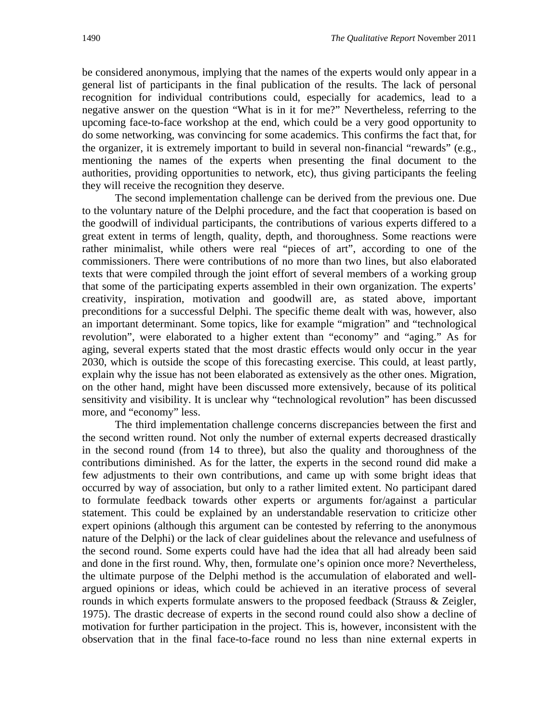be considered anonymous, implying that the names of the experts would only appear in a general list of participants in the final publication of the results. The lack of personal recognition for individual contributions could, especially for academics, lead to a negative answer on the question "What is in it for me?" Nevertheless, referring to the upcoming face-to-face workshop at the end, which could be a very good opportunity to do some networking, was convincing for some academics. This confirms the fact that, for the organizer, it is extremely important to build in several non-financial "rewards" (e.g., mentioning the names of the experts when presenting the final document to the authorities, providing opportunities to network, etc), thus giving participants the feeling they will receive the recognition they deserve.

The second implementation challenge can be derived from the previous one. Due to the voluntary nature of the Delphi procedure, and the fact that cooperation is based on the goodwill of individual participants, the contributions of various experts differed to a great extent in terms of length, quality, depth, and thoroughness. Some reactions were rather minimalist, while others were real "pieces of art", according to one of the commissioners. There were contributions of no more than two lines, but also elaborated texts that were compiled through the joint effort of several members of a working group that some of the participating experts assembled in their own organization. The experts' creativity, inspiration, motivation and goodwill are, as stated above, important preconditions for a successful Delphi. The specific theme dealt with was, however, also an important determinant. Some topics, like for example "migration" and "technological revolution", were elaborated to a higher extent than "economy" and "aging." As for aging, several experts stated that the most drastic effects would only occur in the year 2030, which is outside the scope of this forecasting exercise. This could, at least partly, explain why the issue has not been elaborated as extensively as the other ones. Migration, on the other hand, might have been discussed more extensively, because of its political sensitivity and visibility. It is unclear why "technological revolution" has been discussed more, and "economy" less.

The third implementation challenge concerns discrepancies between the first and the second written round. Not only the number of external experts decreased drastically in the second round (from 14 to three), but also the quality and thoroughness of the contributions diminished. As for the latter, the experts in the second round did make a few adjustments to their own contributions, and came up with some bright ideas that occurred by way of association, but only to a rather limited extent. No participant dared to formulate feedback towards other experts or arguments for/against a particular statement. This could be explained by an understandable reservation to criticize other expert opinions (although this argument can be contested by referring to the anonymous nature of the Delphi) or the lack of clear guidelines about the relevance and usefulness of the second round. Some experts could have had the idea that all had already been said and done in the first round. Why, then, formulate one's opinion once more? Nevertheless, the ultimate purpose of the Delphi method is the accumulation of elaborated and wellargued opinions or ideas, which could be achieved in an iterative process of several rounds in which experts formulate answers to the proposed feedback (Strauss & Zeigler, 1975). The drastic decrease of experts in the second round could also show a decline of motivation for further participation in the project. This is, however, inconsistent with the observation that in the final face-to-face round no less than nine external experts in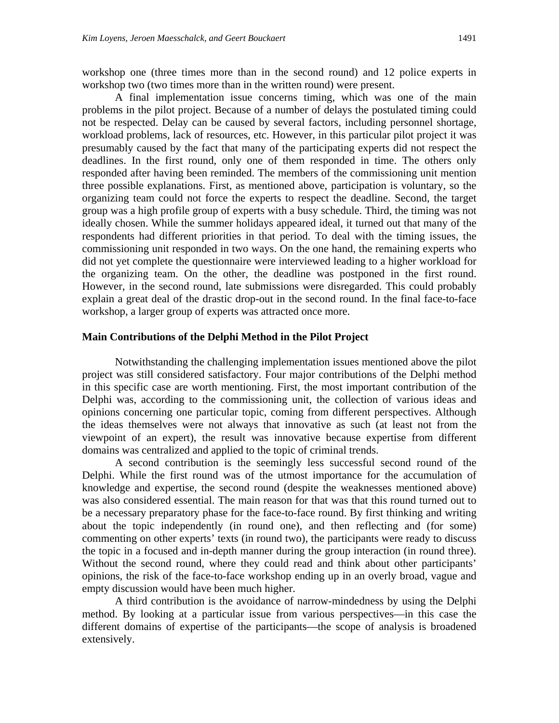workshop one (three times more than in the second round) and 12 police experts in workshop two (two times more than in the written round) were present.

A final implementation issue concerns timing, which was one of the main problems in the pilot project. Because of a number of delays the postulated timing could not be respected. Delay can be caused by several factors, including personnel shortage, workload problems, lack of resources, etc. However, in this particular pilot project it was presumably caused by the fact that many of the participating experts did not respect the deadlines. In the first round, only one of them responded in time. The others only responded after having been reminded. The members of the commissioning unit mention three possible explanations. First, as mentioned above, participation is voluntary, so the organizing team could not force the experts to respect the deadline. Second, the target group was a high profile group of experts with a busy schedule. Third, the timing was not ideally chosen. While the summer holidays appeared ideal, it turned out that many of the respondents had different priorities in that period. To deal with the timing issues, the commissioning unit responded in two ways. On the one hand, the remaining experts who did not yet complete the questionnaire were interviewed leading to a higher workload for the organizing team. On the other, the deadline was postponed in the first round. However, in the second round, late submissions were disregarded. This could probably explain a great deal of the drastic drop-out in the second round. In the final face-to-face workshop, a larger group of experts was attracted once more.

#### **Main Contributions of the Delphi Method in the Pilot Project**

Notwithstanding the challenging implementation issues mentioned above the pilot project was still considered satisfactory. Four major contributions of the Delphi method in this specific case are worth mentioning. First, the most important contribution of the Delphi was, according to the commissioning unit, the collection of various ideas and opinions concerning one particular topic, coming from different perspectives. Although the ideas themselves were not always that innovative as such (at least not from the viewpoint of an expert), the result was innovative because expertise from different domains was centralized and applied to the topic of criminal trends.

A second contribution is the seemingly less successful second round of the Delphi. While the first round was of the utmost importance for the accumulation of knowledge and expertise, the second round (despite the weaknesses mentioned above) was also considered essential. The main reason for that was that this round turned out to be a necessary preparatory phase for the face-to-face round. By first thinking and writing about the topic independently (in round one), and then reflecting and (for some) commenting on other experts' texts (in round two), the participants were ready to discuss the topic in a focused and in-depth manner during the group interaction (in round three). Without the second round, where they could read and think about other participants' opinions, the risk of the face-to-face workshop ending up in an overly broad, vague and empty discussion would have been much higher.

A third contribution is the avoidance of narrow-mindedness by using the Delphi method. By looking at a particular issue from various perspectives—in this case the different domains of expertise of the participants—the scope of analysis is broadened extensively.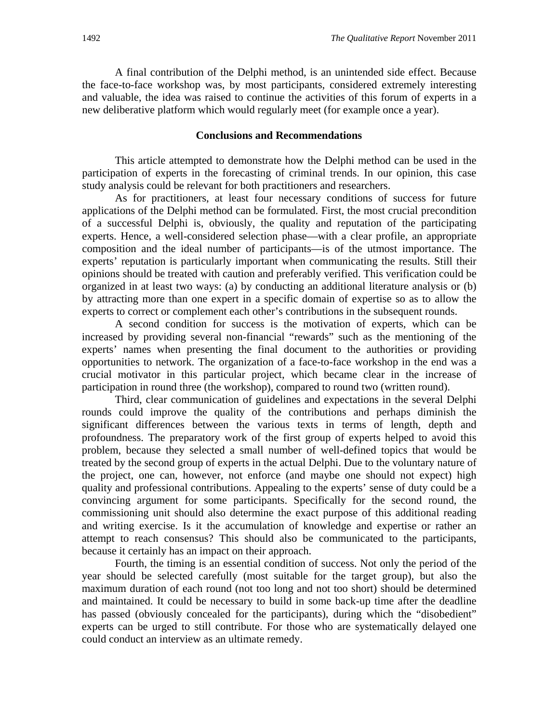A final contribution of the Delphi method, is an unintended side effect. Because the face-to-face workshop was, by most participants, considered extremely interesting and valuable, the idea was raised to continue the activities of this forum of experts in a new deliberative platform which would regularly meet (for example once a year).

#### **Conclusions and Recommendations**

This article attempted to demonstrate how the Delphi method can be used in the participation of experts in the forecasting of criminal trends. In our opinion, this case study analysis could be relevant for both practitioners and researchers.

As for practitioners, at least four necessary conditions of success for future applications of the Delphi method can be formulated. First, the most crucial precondition of a successful Delphi is, obviously, the quality and reputation of the participating experts. Hence, a well-considered selection phase—with a clear profile, an appropriate composition and the ideal number of participants—is of the utmost importance. The experts' reputation is particularly important when communicating the results. Still their opinions should be treated with caution and preferably verified. This verification could be organized in at least two ways: (a) by conducting an additional literature analysis or (b) by attracting more than one expert in a specific domain of expertise so as to allow the experts to correct or complement each other's contributions in the subsequent rounds.

A second condition for success is the motivation of experts, which can be increased by providing several non-financial "rewards" such as the mentioning of the experts' names when presenting the final document to the authorities or providing opportunities to network. The organization of a face-to-face workshop in the end was a crucial motivator in this particular project, which became clear in the increase of participation in round three (the workshop), compared to round two (written round).

Third, clear communication of guidelines and expectations in the several Delphi rounds could improve the quality of the contributions and perhaps diminish the significant differences between the various texts in terms of length, depth and profoundness. The preparatory work of the first group of experts helped to avoid this problem, because they selected a small number of well-defined topics that would be treated by the second group of experts in the actual Delphi. Due to the voluntary nature of the project, one can, however, not enforce (and maybe one should not expect) high quality and professional contributions. Appealing to the experts' sense of duty could be a convincing argument for some participants. Specifically for the second round, the commissioning unit should also determine the exact purpose of this additional reading and writing exercise. Is it the accumulation of knowledge and expertise or rather an attempt to reach consensus? This should also be communicated to the participants, because it certainly has an impact on their approach.

Fourth, the timing is an essential condition of success. Not only the period of the year should be selected carefully (most suitable for the target group), but also the maximum duration of each round (not too long and not too short) should be determined and maintained. It could be necessary to build in some back-up time after the deadline has passed (obviously concealed for the participants), during which the "disobedient" experts can be urged to still contribute. For those who are systematically delayed one could conduct an interview as an ultimate remedy.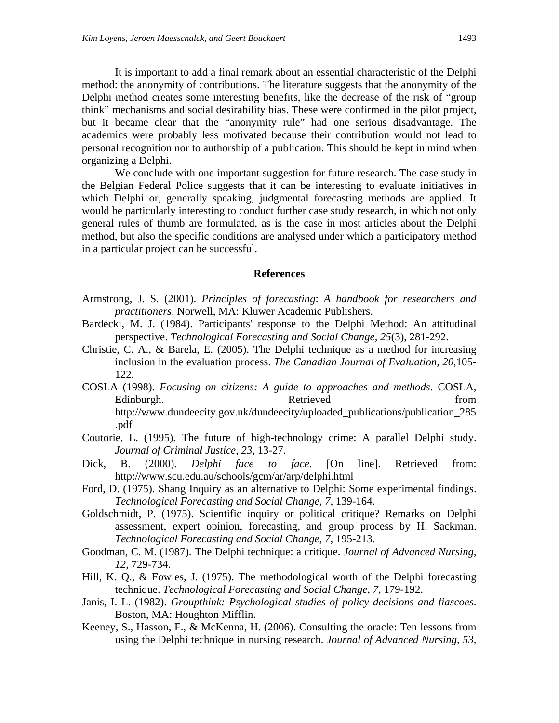It is important to add a final remark about an essential characteristic of the Delphi method: the anonymity of contributions. The literature suggests that the anonymity of the Delphi method creates some interesting benefits, like the decrease of the risk of "group think" mechanisms and social desirability bias. These were confirmed in the pilot project, but it became clear that the "anonymity rule" had one serious disadvantage. The academics were probably less motivated because their contribution would not lead to personal recognition nor to authorship of a publication. This should be kept in mind when organizing a Delphi.

We conclude with one important suggestion for future research. The case study in the Belgian Federal Police suggests that it can be interesting to evaluate initiatives in which Delphi or, generally speaking, judgmental forecasting methods are applied. It would be particularly interesting to conduct further case study research, in which not only general rules of thumb are formulated, as is the case in most articles about the Delphi method, but also the specific conditions are analysed under which a participatory method in a particular project can be successful.

#### **References**

- Armstrong, J. S. (2001). *Principles of forecasting*: *A handbook for researchers and practitioners*. Norwell, MA: Kluwer Academic Publishers.
- Bardecki, M. J. (1984). Participants' response to the Delphi Method: An attitudinal perspective. *Technological Forecasting and Social Change, 25*(3), 281-292.
- Christie, C. A., & Barela, E. (2005). The Delphi technique as a method for increasing inclusion in the evaluation process. *The Canadian Journal of Evaluation, 20*,105- 122.
- COSLA (1998). *Focusing on citizens: A guide to approaches and methods*. COSLA, Edinburgh. Retrieved from http://www.dundeecity.gov.uk/dundeecity/uploaded\_publications/publication\_285 .pdf
- Coutorie, L. (1995). The future of high-technology crime: A parallel Delphi study. *Journal of Criminal Justice*, *23*, 13-27.
- Dick, B. (2000). *Delphi face to face*. [On line]. Retrieved from: http://www.scu.edu.au/schools/gcm/ar/arp/delphi.html
- Ford, D. (1975). Shang Inquiry as an alternative to Delphi: Some experimental findings. *Technological Forecasting and Social Change, 7*, 139-164.
- Goldschmidt, P. (1975). Scientific inquiry or political critique? Remarks on Delphi assessment, expert opinion, forecasting, and group process by H. Sackman. *Technological Forecasting and Social Change*, *7*, 195-213.
- Goodman, C. M. (1987). The Delphi technique: a critique. *Journal of Advanced Nursing, 12,* 729-734.
- Hill, K. Q., & Fowles, J. (1975). The methodological worth of the Delphi forecasting technique. *Technological Forecasting and Social Change*, *7*, 179-192.
- Janis, I. L. (1982). *Groupthink: Psychological studies of policy decisions and fiascoes*. Boston, MA: Houghton Mifflin.
- Keeney, S., Hasson, F., & McKenna, H. (2006). Consulting the oracle: Ten lessons from using the Delphi technique in nursing research. *Journal of Advanced Nursing, 53*,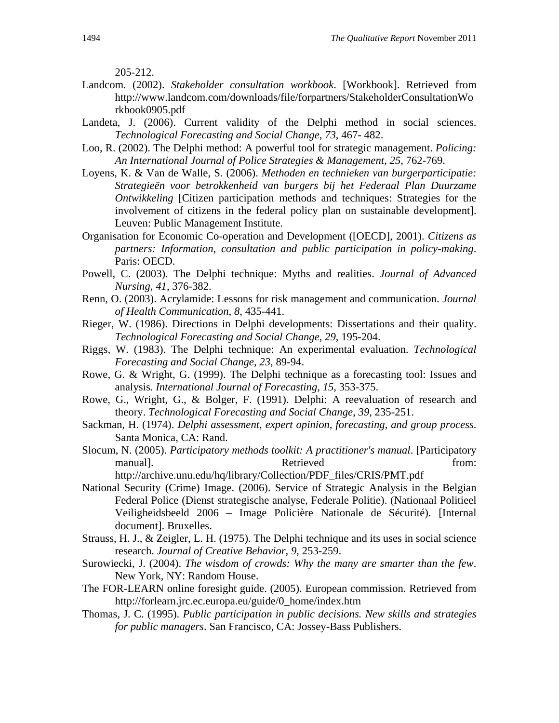205-212.

- Landcom. (2002). *Stakeholder consultation workbook*. [Workbook]. Retrieved from http://www.landcom.com/downloads/file/forpartners/StakeholderConsultationWo rkbook0905.pdf
- Landeta, J. (2006). Current validity of the Delphi method in social sciences. *Technological Forecasting and Social Change*, *73*, 467- 482.
- Loo, R. (2002). The Delphi method: A powerful tool for strategic management. *Policing: An International Journal of Police Strategies & Management*, *25*, 762-769.
- Loyens, K. & Van de Walle, S. (2006). *Methoden en technieken van burgerparticipatie: Strategieën voor betrokkenheid van burgers bij het Federaal Plan Duurzame Ontwikkeling* [Citizen participation methods and techniques: Strategies for the involvement of citizens in the federal policy plan on sustainable development]. Leuven: Public Management Institute.
- Organisation for Economic Co-operation and Development ([OECD], 2001). *Citizens as partners: Information, consultation and public participation in policy-making*. Paris: OECD.
- Powell, C. (2003). The Delphi technique: Myths and realities. *Journal of Advanced Nursing*, *41*, 376-382.
- Renn, O. (2003). Acrylamide: Lessons for risk management and communication. *Journal of Health Communication*, *8*, 435-441.
- Rieger, W. (1986). Directions in Delphi developments: Dissertations and their quality. *Technological Forecasting and Social Change*, *29*, 195-204.
- Riggs, W. (1983). The Delphi technique: An experimental evaluation. *Technological Forecasting and Social Change*, *23*, 89-94.
- Rowe, G. & Wright, G. (1999). The Delphi technique as a forecasting tool: Issues and analysis. *International Journal of Forecasting*, *15*, 353-375.
- Rowe, G., Wright, G., & Bolger, F. (1991). Delphi: A reevaluation of research and theory. *Technological Forecasting and Social Change*, *39*, 235-251.
- Sackman, H. (1974). *Delphi assessment, expert opinion, forecasting, and group process*. Santa Monica, CA: Rand.
- Slocum, N. (2005). *Participatory methods toolkit: A practitioner's manual*. [Participatory manual]. Retrieved from: http://archive.unu.edu/hq/library/Collection/PDF\_files/CRIS/PMT.pdf
- National Security (Crime) Image. (2006). Service of Strategic Analysis in the Belgian Federal Police (Dienst strategische analyse, Federale Politie). (Nationaal Politieel Veiligheidsbeeld 2006 – Image Policière Nationale de Sécurité). [Internal document]. Bruxelles.
- Strauss, H. J., & Zeigler, L. H. (1975). The Delphi technique and its uses in social science research. *Journal of Creative Behavior*, *9*, 253-259.
- Surowiecki, J. (2004). *The wisdom of crowds: Why the many are smarter than the few*. New York, NY: Random House.
- The FOR-LEARN online foresight guide. (2005). European commission. Retrieved from http://forlearn.jrc.ec.europa.eu/guide/0\_home/index.htm
- Thomas, J. C. (1995). *Public participation in public decisions. New skills and strategies for public managers*. San Francisco, CA: Jossey-Bass Publishers.